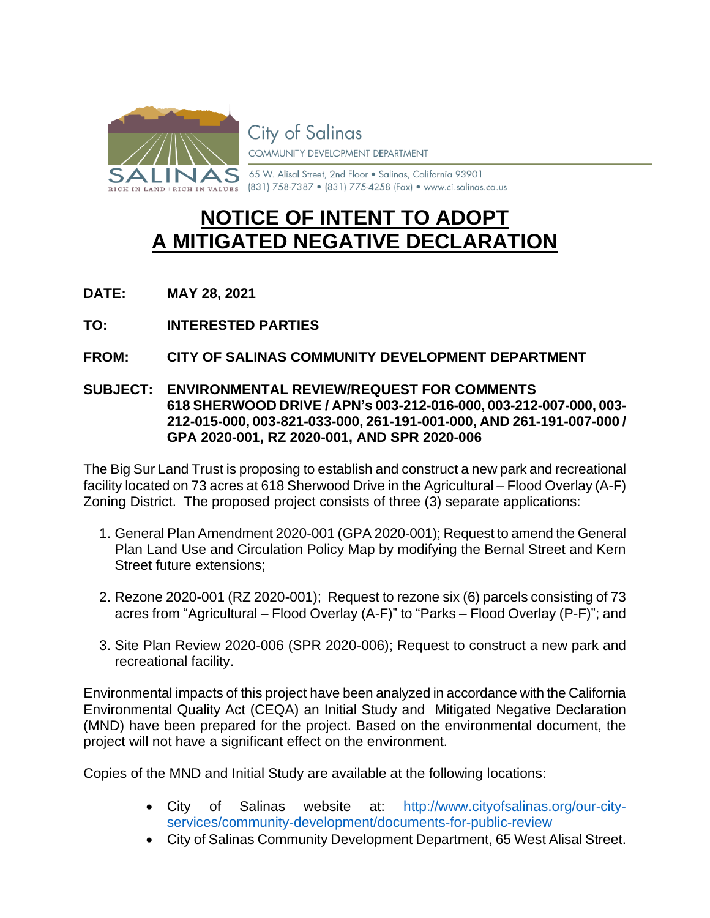

**City of Salinas** 

COMMUNITY DEVELOPMENT DEPARTMENT

65 W. Alisal Street, 2nd Floor . Salinas, California 93901 (831) 758-7387 • (831) 775-4258 (Fax) • www.ci.salinas.ca.us

# **NOTICE OF INTENT TO ADOPT A MITIGATED NEGATIVE DECLARATION**

**DATE: MAY 28, 2021**

**TO: INTERESTED PARTIES**

## **FROM: CITY OF SALINAS COMMUNITY DEVELOPMENT DEPARTMENT**

#### **SUBJECT: ENVIRONMENTAL REVIEW/REQUEST FOR COMMENTS 618 SHERWOOD DRIVE / APN's 003-212-016-000, 003-212-007-000, 003- 212-015-000, 003-821-033-000, 261-191-001-000, AND 261-191-007-000 / GPA 2020-001, RZ 2020-001, AND SPR 2020-006**

The Big Sur Land Trust is proposing to establish and construct a new park and recreational facility located on 73 acres at 618 Sherwood Drive in the Agricultural – Flood Overlay (A-F) Zoning District. The proposed project consists of three (3) separate applications:

- 1. General Plan Amendment 2020-001 (GPA 2020-001); Request to amend the General Plan Land Use and Circulation Policy Map by modifying the Bernal Street and Kern Street future extensions;
- 2. Rezone 2020-001 (RZ 2020-001); Request to rezone six (6) parcels consisting of 73 acres from "Agricultural – Flood Overlay (A-F)" to "Parks – Flood Overlay (P-F)"; and
- 3. Site Plan Review 2020-006 (SPR 2020-006); Request to construct a new park and recreational facility.

Environmental impacts of this project have been analyzed in accordance with the California Environmental Quality Act (CEQA) an Initial Study and Mitigated Negative Declaration (MND) have been prepared for the project. Based on the environmental document, the project will not have a significant effect on the environment.

Copies of the MND and Initial Study are available at the following locations:

- City of Salinas website at: [http://www.cityofsalinas.org/our-city](http://www.cityofsalinas.org/our-city-services/community-development/documents-for-public-review)[services/community-development/documents-for-public-review](http://www.cityofsalinas.org/our-city-services/community-development/documents-for-public-review)
- City of Salinas Community Development Department, 65 West Alisal Street.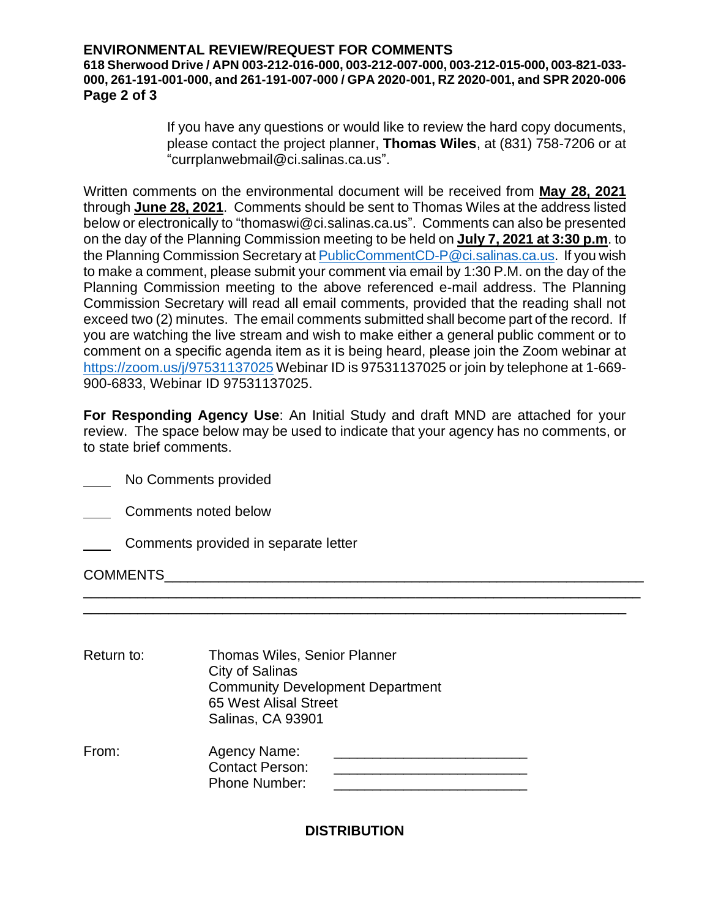#### **ENVIRONMENTAL REVIEW/REQUEST FOR COMMENTS**

**618 Sherwood Drive / APN 003-212-016-000, 003-212-007-000, 003-212-015-000, 003-821-033- 000, 261-191-001-000, and 261-191-007-000 / GPA 2020-001, RZ 2020-001, and SPR 2020-006 Page 2 of 3**

> If you have any questions or would like to review the hard copy documents, please contact the project planner, **Thomas Wiles**, at (831) 758-7206 or at "currplanwebmail@ci.salinas.ca.us".

Written comments on the environmental document will be received from **May 28, 2021** through **June 28, 2021**. Comments should be sent to Thomas Wiles at the address listed below or electronically to "thomaswi@ci.salinas.ca.us". Comments can also be presented on the day of the Planning Commission meeting to be held on **July 7, 2021 at 3:30 p.m**. to the Planning Commission Secretary a[t PublicCommentCD-P@ci.salinas.ca.us.](mailto:PublicCommentCD-P@ci.salinas.ca.us) If you wish to make a comment, please submit your comment via email by 1:30 P.M. on the day of the Planning Commission meeting to the above referenced e-mail address. The Planning Commission Secretary will read all email comments, provided that the reading shall not exceed two (2) minutes. The email comments submitted shall become part of the record. If you are watching the live stream and wish to make either a general public comment or to comment on a specific agenda item as it is being heard, please join the Zoom webinar at <https://zoom.us/j/97531137025> Webinar ID is 97531137025 or join by telephone at 1-669-900-6833, Webinar ID 97531137025.

**For Responding Agency Use**: An Initial Study and draft MND are attached for your review. The space below may be used to indicate that your agency has no comments, or to state brief comments.

\_\_\_\_\_\_\_\_\_\_\_\_\_\_\_\_\_\_\_\_\_\_\_\_\_\_\_\_\_\_\_\_\_\_\_\_\_\_\_\_\_\_\_\_\_\_\_\_\_\_\_\_\_\_\_\_\_\_\_\_\_\_\_\_\_\_\_\_\_\_\_\_ \_\_\_\_\_\_\_\_\_\_\_\_\_\_\_\_\_\_\_\_\_\_\_\_\_\_\_\_\_\_\_\_\_\_\_\_\_\_\_\_\_\_\_\_\_\_\_\_\_\_\_\_\_\_\_\_\_\_\_\_\_\_\_\_\_\_\_\_\_\_\_

No Comments provided

Comments noted below

Comments provided in separate letter

COMMENTS

| Return to: | <b>Thomas Wiles, Senior Planner</b><br>City of Salinas<br><b>Community Development Department</b><br><b>65 West Alisal Street</b><br>Salinas, CA 93901 |  |
|------------|--------------------------------------------------------------------------------------------------------------------------------------------------------|--|
| From:      | Agency Name:<br><b>Contact Person:</b><br><b>Phone Number:</b>                                                                                         |  |

**DISTRIBUTION**